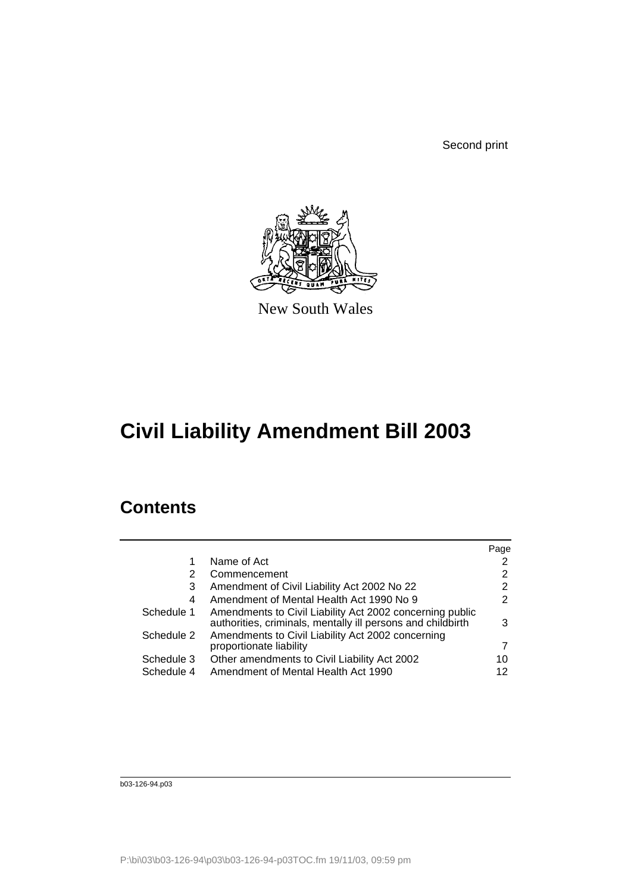Second print



New South Wales

# **Civil Liability Amendment Bill 2003**

## **Contents**

|            |                                                                                                                         | Page |
|------------|-------------------------------------------------------------------------------------------------------------------------|------|
|            | Name of Act                                                                                                             |      |
| 2          | Commencement                                                                                                            | 2    |
| 3          | Amendment of Civil Liability Act 2002 No 22                                                                             | 2    |
| 4          | Amendment of Mental Health Act 1990 No 9                                                                                | 2    |
| Schedule 1 | Amendments to Civil Liability Act 2002 concerning public<br>authorities, criminals, mentally ill persons and childbirth | 3    |
| Schedule 2 | Amendments to Civil Liability Act 2002 concerning                                                                       |      |
|            | proportionate liability                                                                                                 |      |
| Schedule 3 | Other amendments to Civil Liability Act 2002                                                                            | 10   |
| Schedule 4 | Amendment of Mental Health Act 1990                                                                                     | 12   |

b03-126-94.p03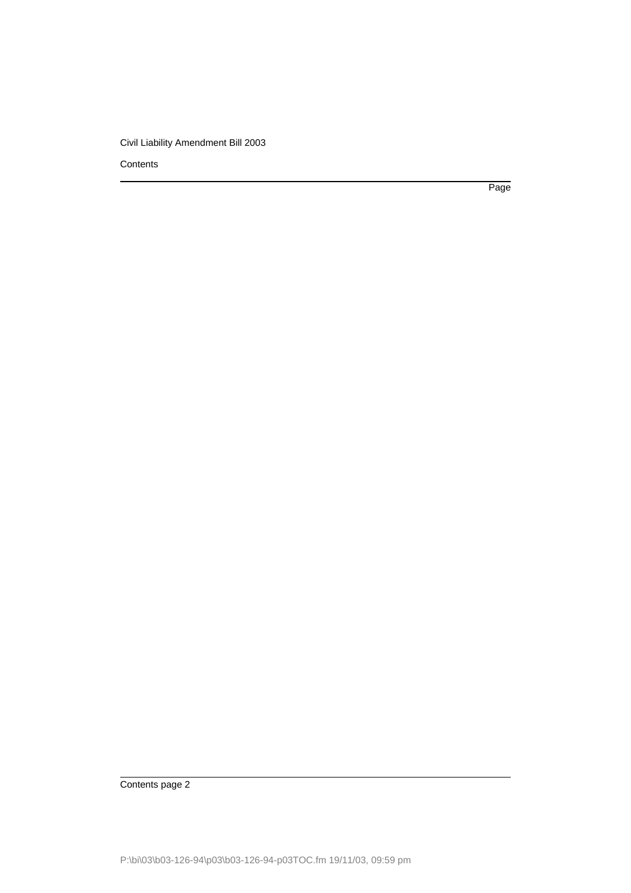**Contents** 

Page

Contents page 2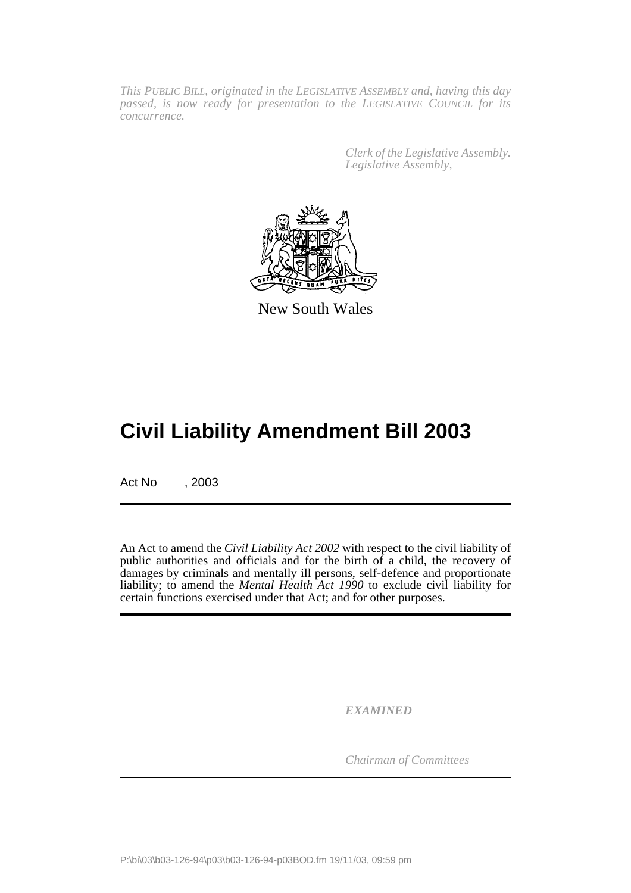*This PUBLIC BILL, originated in the LEGISLATIVE ASSEMBLY and, having this day passed, is now ready for presentation to the LEGISLATIVE COUNCIL for its concurrence.*

> *Clerk of the Legislative Assembly. Legislative Assembly,*



New South Wales

## **Civil Liability Amendment Bill 2003**

Act No , 2003

An Act to amend the *Civil Liability Act 2002* with respect to the civil liability of public authorities and officials and for the birth of a child, the recovery of damages by criminals and mentally ill persons, self-defence and proportionate liability; to amend the *Mental Health Act 1990* to exclude civil liability for certain functions exercised under that Act; and for other purposes.

*EXAMINED*

*Chairman of Committees*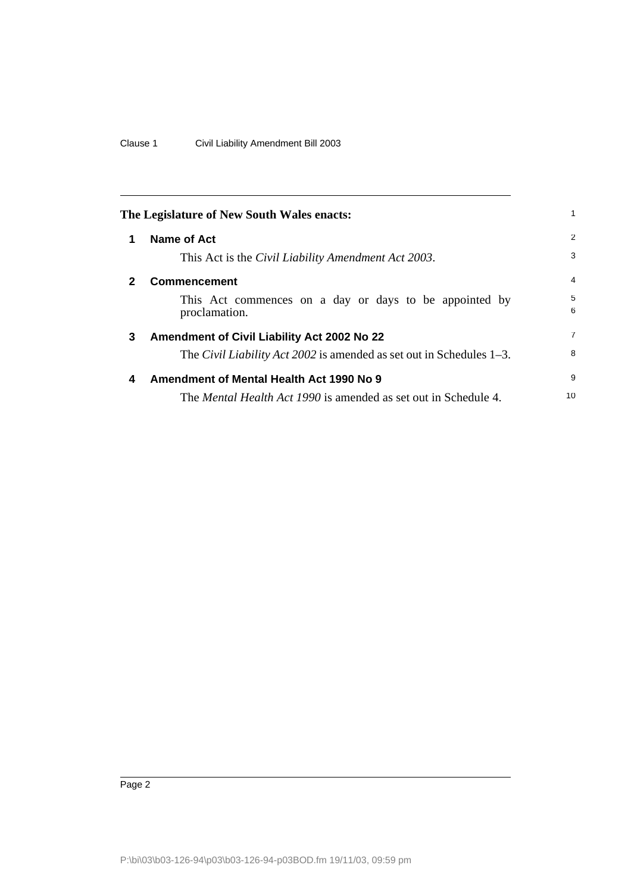<span id="page-3-3"></span><span id="page-3-2"></span><span id="page-3-1"></span><span id="page-3-0"></span>

|             | The Legislature of New South Wales enacts:                                     |        |
|-------------|--------------------------------------------------------------------------------|--------|
| 1           | Name of Act                                                                    | 2      |
|             | This Act is the <i>Civil Liability Amendment Act 2003</i> .                    | 3      |
| $\mathbf 2$ | <b>Commencement</b>                                                            | 4      |
|             | This Act commences on a day or days to be appointed by<br>proclamation.        | 5<br>6 |
| 3           | <b>Amendment of Civil Liability Act 2002 No 22</b>                             | 7      |
|             | The <i>Civil Liability Act 2002</i> is amended as set out in Schedules $1-3$ . | 8      |
| 4           | Amendment of Mental Health Act 1990 No 9                                       | 9      |
|             | The <i>Mental Health Act 1990</i> is amended as set out in Schedule 4.         | 10     |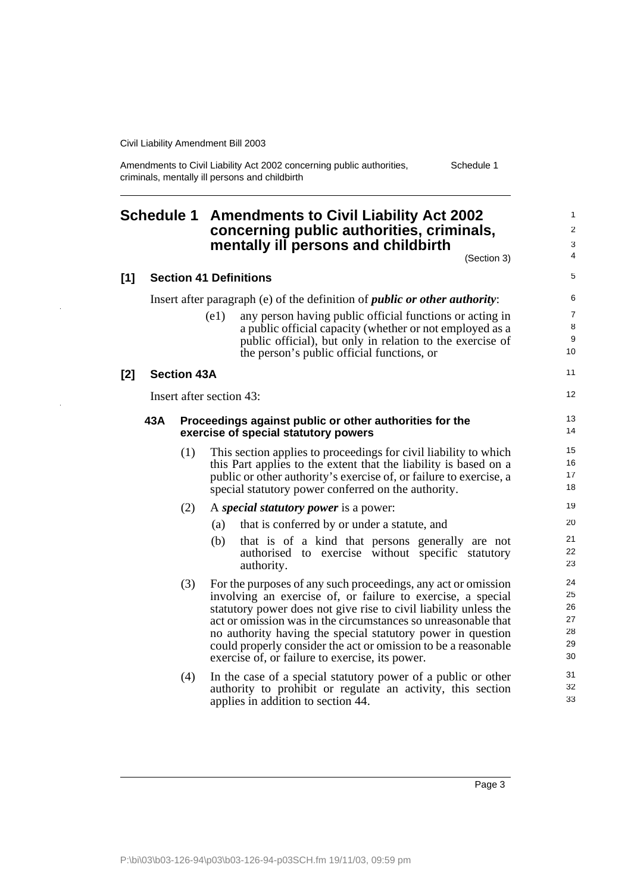Amendments to Civil Liability Act 2002 concerning public authorities, criminals, mentally ill persons and childbirth Schedule 1

### <span id="page-4-0"></span>**Schedule 1 Amendments to Civil Liability Act 2002 concerning public authorities, criminals, mentally ill persons and childbirth**

(Section 3)

| [1] |                                                                                    |                    | <b>Section 41 Definitions</b> |                                                                                                                                                                                                                                                                                                                                                                                                                                                       | 5                                      |
|-----|------------------------------------------------------------------------------------|--------------------|-------------------------------|-------------------------------------------------------------------------------------------------------------------------------------------------------------------------------------------------------------------------------------------------------------------------------------------------------------------------------------------------------------------------------------------------------------------------------------------------------|----------------------------------------|
|     | Insert after paragraph (e) of the definition of <i>public or other authority</i> : |                    |                               |                                                                                                                                                                                                                                                                                                                                                                                                                                                       |                                        |
|     |                                                                                    |                    | (e1)                          | any person having public official functions or acting in<br>a public official capacity (whether or not employed as a<br>public official), but only in relation to the exercise of<br>the person's public official functions, or                                                                                                                                                                                                                       | $\overline{7}$<br>$\,8\,$<br>9<br>10   |
| [2] |                                                                                    | <b>Section 43A</b> |                               |                                                                                                                                                                                                                                                                                                                                                                                                                                                       | 11                                     |
|     |                                                                                    |                    | Insert after section 43:      |                                                                                                                                                                                                                                                                                                                                                                                                                                                       | 12                                     |
|     | 43A                                                                                |                    |                               | Proceedings against public or other authorities for the<br>exercise of special statutory powers                                                                                                                                                                                                                                                                                                                                                       | 13<br>14                               |
|     |                                                                                    | (1)                |                               | This section applies to proceedings for civil liability to which<br>this Part applies to the extent that the liability is based on a<br>public or other authority's exercise of, or failure to exercise, a<br>special statutory power conferred on the authority.                                                                                                                                                                                     | 15<br>16<br>17<br>18                   |
|     |                                                                                    | (2)                |                               | A <i>special statutory power</i> is a power:                                                                                                                                                                                                                                                                                                                                                                                                          | 19                                     |
|     |                                                                                    |                    | (a)                           | that is conferred by or under a statute, and                                                                                                                                                                                                                                                                                                                                                                                                          | 20                                     |
|     |                                                                                    |                    | (b)                           | that is of a kind that persons generally are not<br>authorised to exercise without specific statutory<br>authority.                                                                                                                                                                                                                                                                                                                                   | 21<br>22<br>23                         |
|     |                                                                                    | (3)                |                               | For the purposes of any such proceedings, any act or omission<br>involving an exercise of, or failure to exercise, a special<br>statutory power does not give rise to civil liability unless the<br>act or omission was in the circumstances so unreasonable that<br>no authority having the special statutory power in question<br>could properly consider the act or omission to be a reasonable<br>exercise of, or failure to exercise, its power. | 24<br>25<br>26<br>27<br>28<br>29<br>30 |
|     |                                                                                    | (4)                |                               | In the case of a special statutory power of a public or other<br>authority to prohibit or regulate an activity, this section<br>applies in addition to section 44.                                                                                                                                                                                                                                                                                    | 31<br>32<br>33                         |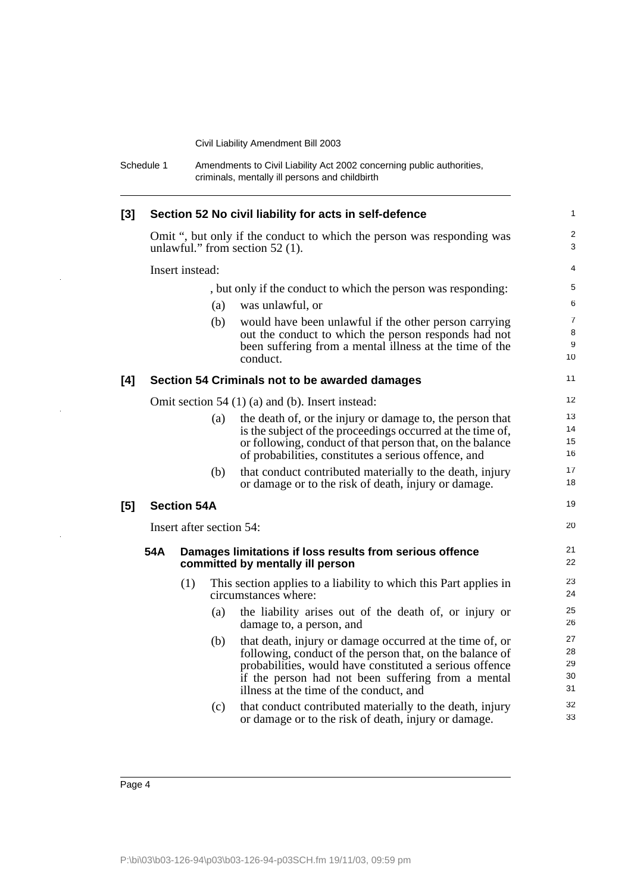Schedule 1 Amendments to Civil Liability Act 2002 concerning public authorities, criminals, mentally ill persons and childbirth

| [3] |                          |                    |     | Section 52 No civil liability for acts in self-defence                                                                                                                                                                                                                           | $\mathbf{1}$                   |  |
|-----|--------------------------|--------------------|-----|----------------------------------------------------------------------------------------------------------------------------------------------------------------------------------------------------------------------------------------------------------------------------------|--------------------------------|--|
|     |                          |                    |     | Omit ", but only if the conduct to which the person was responding was<br>unlawful." from section $52(1)$ .                                                                                                                                                                      | 2<br>3                         |  |
|     |                          | Insert instead:    |     |                                                                                                                                                                                                                                                                                  | 4                              |  |
|     |                          |                    |     | , but only if the conduct to which the person was responding:                                                                                                                                                                                                                    | 5                              |  |
|     |                          |                    | (a) | was unlawful, or                                                                                                                                                                                                                                                                 | 6                              |  |
|     |                          |                    | (b) | would have been unlawful if the other person carrying<br>out the conduct to which the person responds had not<br>been suffering from a mental illness at the time of the<br>conduct.                                                                                             | $\overline{7}$<br>8<br>9<br>10 |  |
| [4] |                          |                    |     | Section 54 Criminals not to be awarded damages                                                                                                                                                                                                                                   | 11                             |  |
|     |                          |                    |     | Omit section 54 $(1)$ (a) and (b). Insert instead:                                                                                                                                                                                                                               | 12                             |  |
|     |                          |                    | (a) | the death of, or the injury or damage to, the person that<br>is the subject of the proceedings occurred at the time of,<br>or following, conduct of that person that, on the balance<br>of probabilities, constitutes a serious offence, and                                     | 13<br>14<br>15<br>16           |  |
|     |                          |                    | (b) | that conduct contributed materially to the death, injury<br>or damage or to the risk of death, injury or damage.                                                                                                                                                                 | 17<br>18                       |  |
| [5] |                          | <b>Section 54A</b> |     |                                                                                                                                                                                                                                                                                  | 19                             |  |
|     | Insert after section 54: |                    |     |                                                                                                                                                                                                                                                                                  |                                |  |
|     | 54A                      |                    |     | Damages limitations if loss results from serious offence<br>committed by mentally ill person                                                                                                                                                                                     | 21<br>22                       |  |
|     |                          | (1)                |     | This section applies to a liability to which this Part applies in<br>circumstances where:                                                                                                                                                                                        | 23<br>24                       |  |
|     |                          |                    | (a) | the liability arises out of the death of, or injury or<br>damage to, a person, and                                                                                                                                                                                               | 25<br>26                       |  |
|     |                          |                    | (b) | that death, injury or damage occurred at the time of, or<br>following, conduct of the person that, on the balance of<br>probabilities, would have constituted a serious offence<br>if the person had not been suffering from a mental<br>illness at the time of the conduct, and | 27<br>28<br>29<br>30<br>31     |  |
|     |                          |                    | (c) | that conduct contributed materially to the death, injury<br>or damage or to the risk of death, injury or damage.                                                                                                                                                                 | 32<br>33                       |  |

÷,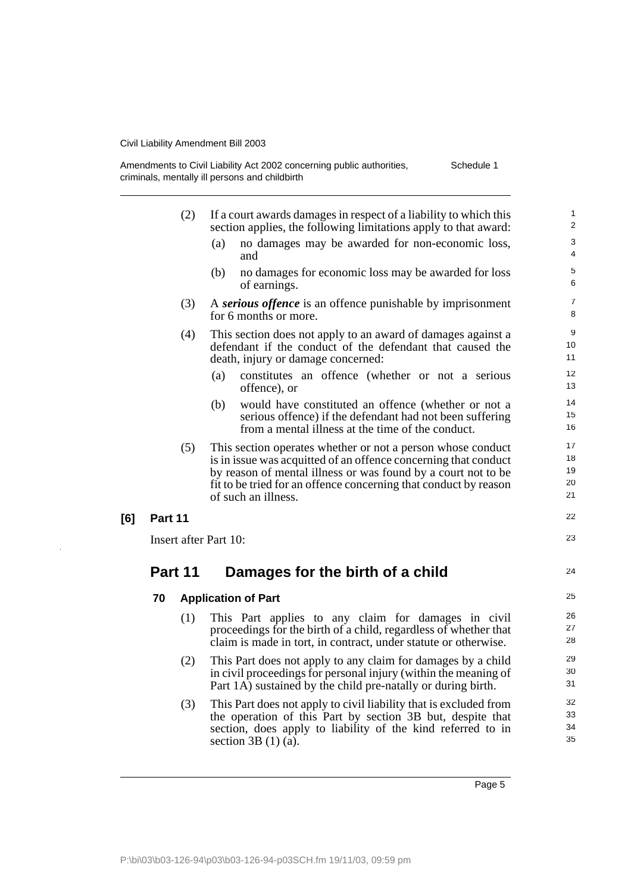**[6]** 

Amendments to Civil Liability Act 2002 concerning public authorities, criminals, mentally ill persons and childbirth Schedule 1

| (2)     |         | If a court awards damages in respect of a liability to which this<br>section applies, the following limitations apply to that award:                                                                                                                                                       | 1<br>2                     |
|---------|---------|--------------------------------------------------------------------------------------------------------------------------------------------------------------------------------------------------------------------------------------------------------------------------------------------|----------------------------|
|         |         | no damages may be awarded for non-economic loss,<br>(a)<br>and                                                                                                                                                                                                                             | 3<br>4                     |
|         |         | no damages for economic loss may be awarded for loss<br>(b)<br>of earnings.                                                                                                                                                                                                                | 5<br>6                     |
|         | (3)     | A serious offence is an offence punishable by imprisonment<br>for 6 months or more.                                                                                                                                                                                                        | 7<br>8                     |
|         | (4)     | This section does not apply to an award of damages against a<br>defendant if the conduct of the defendant that caused the<br>death, injury or damage concerned:                                                                                                                            | 9<br>10<br>11              |
|         |         | constitutes an offence (whether or not a serious<br>(a)<br>offence), or                                                                                                                                                                                                                    | 12<br>13                   |
|         |         | would have constituted an offence (whether or not a<br>(b)<br>serious offence) if the defendant had not been suffering<br>from a mental illness at the time of the conduct.                                                                                                                | 14<br>15<br>16             |
|         | (5)     | This section operates whether or not a person whose conduct<br>is in issue was acquitted of an offence concerning that conduct<br>by reason of mental illness or was found by a court not to be<br>fit to be tried for an offence concerning that conduct by reason<br>of such an illness. | 17<br>18<br>19<br>20<br>21 |
| Part 11 |         |                                                                                                                                                                                                                                                                                            | 22                         |
|         |         | Insert after Part 10:                                                                                                                                                                                                                                                                      | 23                         |
|         | Part 11 | Damages for the birth of a child                                                                                                                                                                                                                                                           | 24                         |
| 70      |         | <b>Application of Part</b>                                                                                                                                                                                                                                                                 | 25                         |
|         | (1)     | This Part applies to any claim for damages in civil<br>proceedings for the birth of a child, regardless of whether that<br>claim is made in tort, in contract, under statute or otherwise.                                                                                                 | 26<br>27<br>28             |
|         | (2)     | This Part does not apply to any claim for damages by a child<br>in civil proceedings for personal injury (within the meaning of<br>Part 1A) sustained by the child pre-natally or during birth.                                                                                            | 29<br>30<br>31             |
|         | (3)     | This Part does not apply to civil liability that is excluded from<br>the operation of this Part by section 3B but, despite that<br>section, does apply to liability of the kind referred to in<br>section $3B(1)(a)$ .                                                                     | 32<br>33<br>34<br>35       |
|         |         |                                                                                                                                                                                                                                                                                            |                            |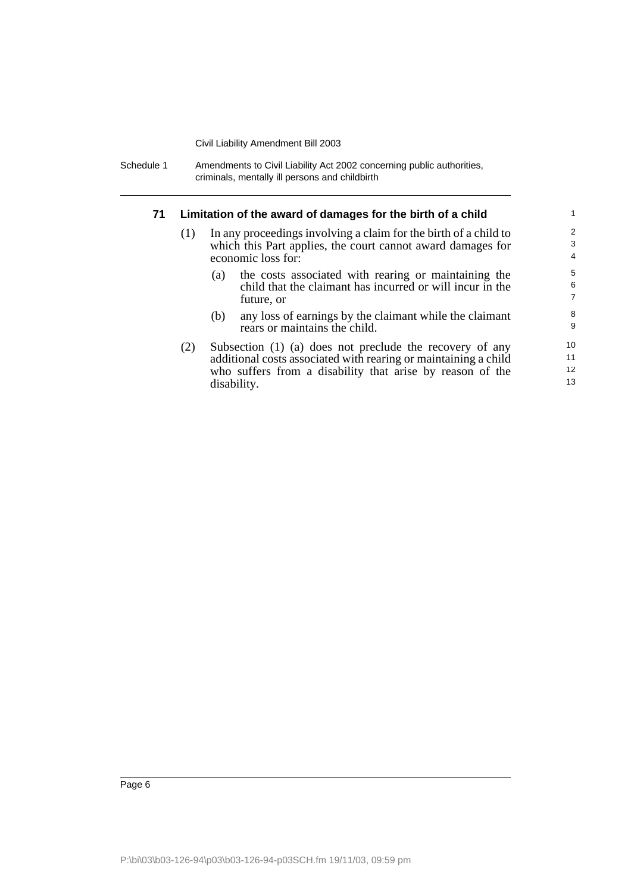Schedule 1 Amendments to Civil Liability Act 2002 concerning public authorities, criminals, mentally ill persons and childbirth

#### **71 Limitation of the award of damages for the birth of a child**

- (1) In any proceedings involving a claim for the birth of a child to which this Part applies, the court cannot award damages for economic loss for:
	- (a) the costs associated with rearing or maintaining the child that the claimant has incurred or will incur in the future, or

- (b) any loss of earnings by the claimant while the claimant rears or maintains the child.
- (2) Subsection (1) (a) does not preclude the recovery of any additional costs associated with rearing or maintaining a child who suffers from a disability that arise by reason of the disability.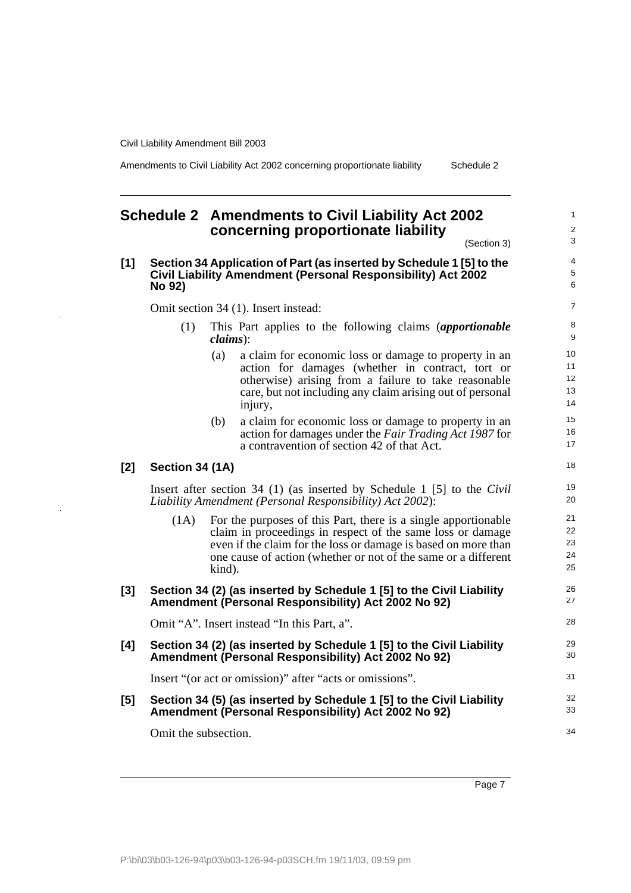Amendments to Civil Liability Act 2002 concerning proportionate liability Schedule 2

### <span id="page-8-0"></span>**Schedule 2 Amendments to Civil Liability Act 2002 concerning proportionate liability**

(Section 3)

26 27

28 29 30

31 32 33

34

#### **[1] Section 34 Application of Part (as inserted by Schedule 1 [5] to the Civil Liability Amendment (Personal Responsibility) Act 2002 No 92)**

Omit section 34 (1). Insert instead:

- (1) This Part applies to the following claims (*apportionable claims*):
	- (a) a claim for economic loss or damage to property in an action for damages (whether in contract, tort or otherwise) arising from a failure to take reasonable care, but not including any claim arising out of personal injury,
	- (b) a claim for economic loss or damage to property in an action for damages under the *Fair Trading Act 1987* for a contravention of section 42 of that Act.

#### **[2] Section 34 (1A)**

Insert after section 34 (1) (as inserted by Schedule 1 [5] to the *Civil Liability Amendment (Personal Responsibility) Act 2002*):

(1A) For the purposes of this Part, there is a single apportionable claim in proceedings in respect of the same loss or damage even if the claim for the loss or damage is based on more than one cause of action (whether or not of the same or a different kind).

## **[3] Section 34 (2) (as inserted by Schedule 1 [5] to the Civil Liability Amendment (Personal Responsibility) Act 2002 No 92)**

Omit "A". Insert instead "In this Part, a".

**[4] Section 34 (2) (as inserted by Schedule 1 [5] to the Civil Liability Amendment (Personal Responsibility) Act 2002 No 92)**

Insert "(or act or omission)" after "acts or omissions".

#### **[5] Section 34 (5) (as inserted by Schedule 1 [5] to the Civil Liability Amendment (Personal Responsibility) Act 2002 No 92)**

Omit the subsection.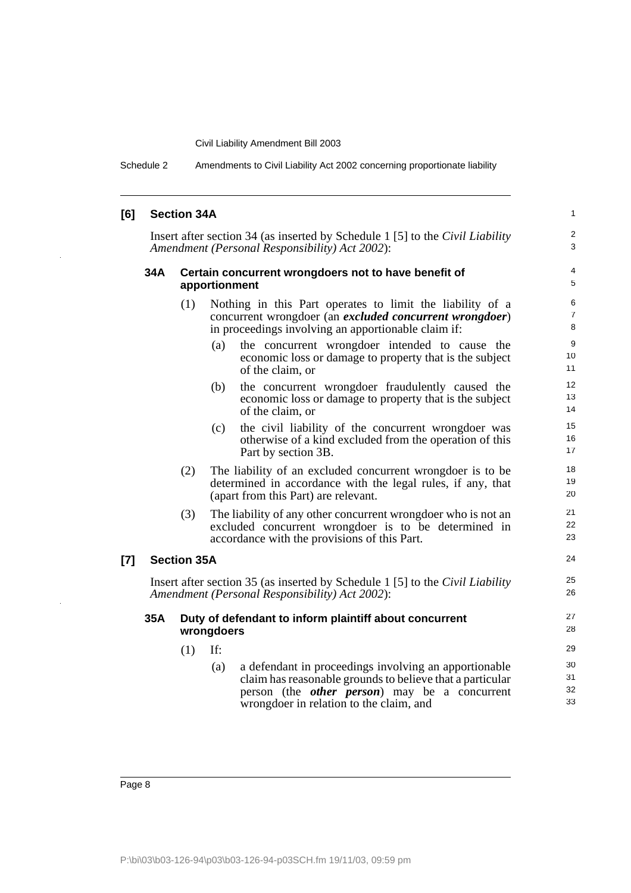Schedule 2 Amendments to Civil Liability Act 2002 concerning proportionate liability

| [6]   |     | <b>Section 34A</b> |                                                                                                                                 |                                                                                                                                                                                                                        | 1                            |
|-------|-----|--------------------|---------------------------------------------------------------------------------------------------------------------------------|------------------------------------------------------------------------------------------------------------------------------------------------------------------------------------------------------------------------|------------------------------|
|       |     |                    |                                                                                                                                 | Insert after section 34 (as inserted by Schedule 1 [5] to the Civil Liability<br>Amendment (Personal Responsibility) Act 2002):                                                                                        | $\overline{\mathbf{c}}$<br>3 |
|       | 34A |                    | apportionment                                                                                                                   | Certain concurrent wrongdoers not to have benefit of                                                                                                                                                                   | 4<br>5                       |
|       |     | (1)                |                                                                                                                                 | Nothing in this Part operates to limit the liability of a<br>concurrent wrongdoer (an excluded concurrent wrongdoer)<br>in proceedings involving an apportionable claim if:                                            | 6<br>7<br>8                  |
|       |     |                    | (a)                                                                                                                             | the concurrent wrongdoer intended to cause the<br>economic loss or damage to property that is the subject<br>of the claim, or                                                                                          | 9<br>10<br>11                |
|       |     |                    | (b)                                                                                                                             | the concurrent wrongdoer fraudulently caused the<br>economic loss or damage to property that is the subject<br>of the claim, or                                                                                        | 12<br>13<br>14               |
|       |     |                    | (c)                                                                                                                             | the civil liability of the concurrent wrongdoer was<br>otherwise of a kind excluded from the operation of this<br>Part by section 3B.                                                                                  | 15<br>16<br>17               |
|       |     | (2)                |                                                                                                                                 | The liability of an excluded concurrent wrongdoer is to be<br>determined in accordance with the legal rules, if any, that<br>(apart from this Part) are relevant.                                                      | 18<br>19<br>20               |
|       |     | (3)                |                                                                                                                                 | The liability of any other concurrent wrongdoer who is not an<br>excluded concurrent wrongdoer is to be determined in<br>accordance with the provisions of this Part.                                                  | 21<br>22<br>23               |
| $[7]$ |     | <b>Section 35A</b> |                                                                                                                                 |                                                                                                                                                                                                                        | 24                           |
|       |     |                    | Insert after section 35 (as inserted by Schedule 1 [5] to the Civil Liability<br>Amendment (Personal Responsibility) Act 2002): |                                                                                                                                                                                                                        |                              |
|       | 35A |                    | wrongdoers                                                                                                                      | Duty of defendant to inform plaintiff about concurrent                                                                                                                                                                 | 27<br>28                     |
|       |     | (1)                | If:                                                                                                                             |                                                                                                                                                                                                                        | 29                           |
|       |     |                    | (a)                                                                                                                             | a defendant in proceedings involving an apportionable<br>claim has reasonable grounds to believe that a particular<br>person (the <i>other person</i> ) may be a concurrent<br>wrongdoer in relation to the claim, and | 30<br>31<br>32<br>33         |
|       |     |                    |                                                                                                                                 |                                                                                                                                                                                                                        |                              |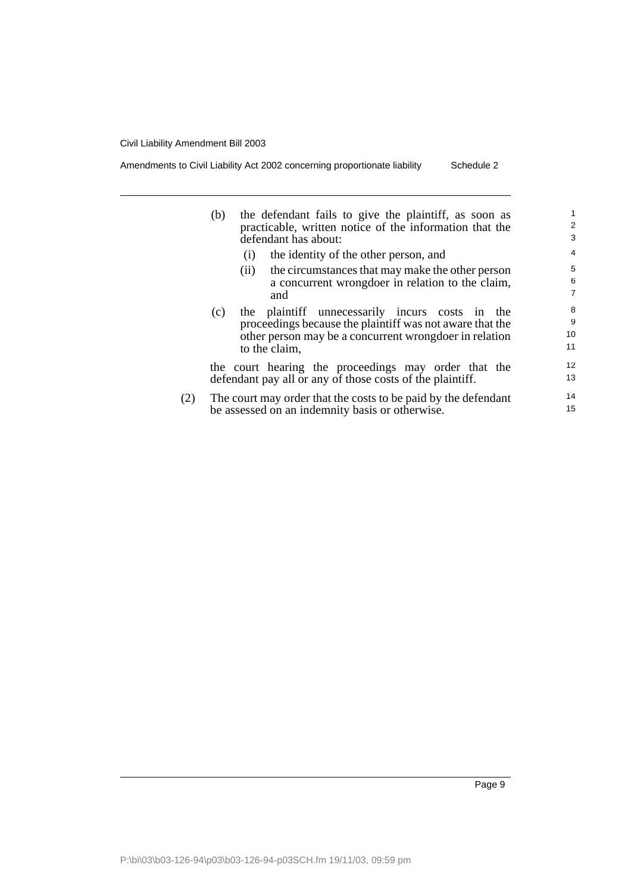Amendments to Civil Liability Act 2002 concerning proportionate liability Schedule 2

|     | (b)                                                            | the defendant fails to give the plaintiff, as soon as     | 1                |  |  |  |
|-----|----------------------------------------------------------------|-----------------------------------------------------------|------------------|--|--|--|
|     |                                                                | practicable, written notice of the information that the   | $\overline{2}$   |  |  |  |
|     |                                                                | defendant has about:                                      | 3                |  |  |  |
|     |                                                                | the identity of the other person, and<br>(i)              | $\overline{4}$   |  |  |  |
|     |                                                                | the circumstances that may make the other person<br>(ii)  | 5                |  |  |  |
|     |                                                                | a concurrent wrongdoer in relation to the claim,          | $\boldsymbol{6}$ |  |  |  |
|     |                                                                | and                                                       | $\overline{7}$   |  |  |  |
|     | (c)                                                            | the plaintiff unnecessarily incurs costs in the           | 8                |  |  |  |
|     |                                                                | proceedings because the plaintiff was not aware that the  | 9                |  |  |  |
|     |                                                                | other person may be a concurrent wrongdoer in relation    | 10               |  |  |  |
|     |                                                                | to the claim,                                             | 11               |  |  |  |
|     |                                                                | the court hearing the proceedings may order that the      | 12               |  |  |  |
|     |                                                                | defendant pay all or any of those costs of the plaintiff. | 13               |  |  |  |
| (2) | The court may order that the costs to be paid by the defendant |                                                           |                  |  |  |  |
|     |                                                                | be assessed on an indemnity basis or otherwise.           | 15               |  |  |  |
|     |                                                                |                                                           |                  |  |  |  |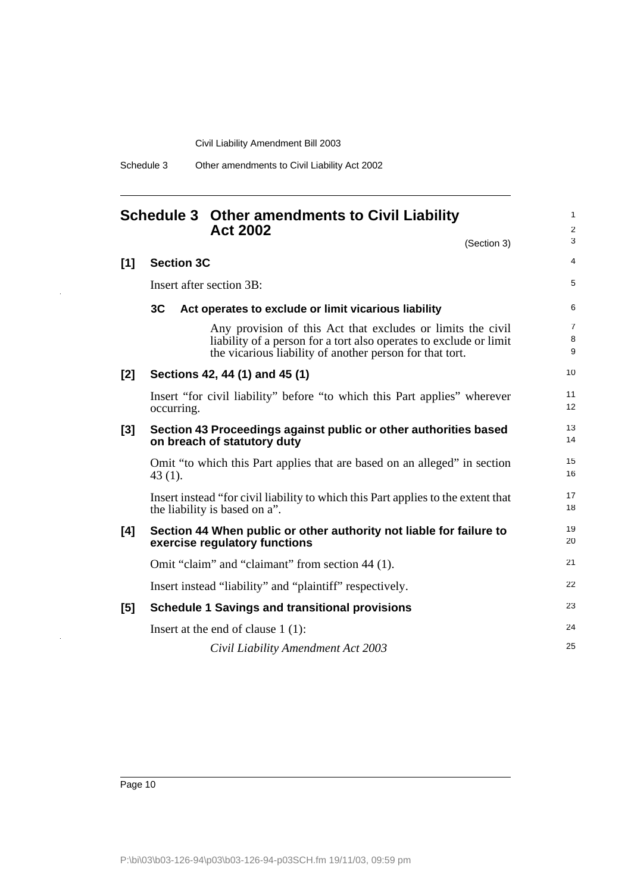Schedule 3 Other amendments to Civil Liability Act 2002

<span id="page-11-0"></span>

|       |                   | <b>Schedule 3 Other amendments to Civil Liability</b><br><b>Act 2002</b><br>(Section 3)                                                                                                       |
|-------|-------------------|-----------------------------------------------------------------------------------------------------------------------------------------------------------------------------------------------|
| $[1]$ | <b>Section 3C</b> |                                                                                                                                                                                               |
|       |                   | Insert after section 3B:                                                                                                                                                                      |
|       | 3C                | Act operates to exclude or limit vicarious liability                                                                                                                                          |
|       |                   | Any provision of this Act that excludes or limits the civil<br>liability of a person for a tort also operates to exclude or limit<br>the vicarious liability of another person for that tort. |
| $[2]$ |                   | Sections 42, 44 (1) and 45 (1)                                                                                                                                                                |
|       | occurring.        | Insert "for civil liability" before "to which this Part applies" wherever                                                                                                                     |
| [3]   |                   | Section 43 Proceedings against public or other authorities based<br>on breach of statutory duty                                                                                               |
|       | $43(1)$ .         | Omit "to which this Part applies that are based on an alleged" in section                                                                                                                     |
|       |                   | Insert instead "for civil liability to which this Part applies to the extent that<br>the liability is based on a".                                                                            |
| [4]   |                   | Section 44 When public or other authority not liable for failure to<br>exercise regulatory functions                                                                                          |
|       |                   | Omit "claim" and "claimant" from section 44 (1).                                                                                                                                              |
|       |                   | Insert instead "liability" and "plaintiff" respectively.                                                                                                                                      |
| [5]   |                   | <b>Schedule 1 Savings and transitional provisions</b>                                                                                                                                         |
|       |                   | Insert at the end of clause $1(1)$ :                                                                                                                                                          |
|       |                   | Civil Liability Amendment Act 2003                                                                                                                                                            |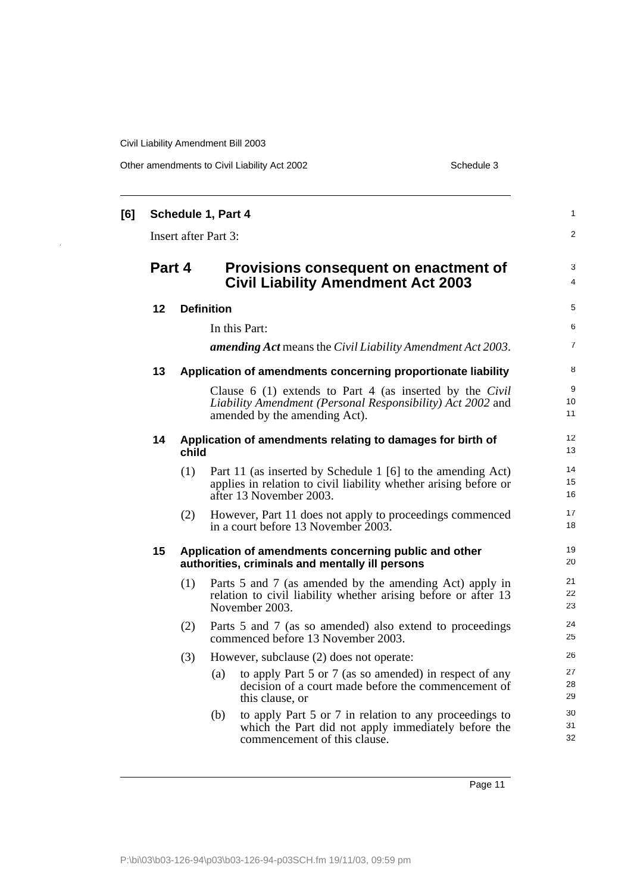Other amendments to Civil Liability Act 2002 Schedule 3

| [6] |                             |       | Schedule 1, Part 4                                                                                                                                         | 1                   |  |  |
|-----|-----------------------------|-------|------------------------------------------------------------------------------------------------------------------------------------------------------------|---------------------|--|--|
|     | <b>Insert after Part 3:</b> |       |                                                                                                                                                            |                     |  |  |
|     | Part 4                      |       | Provisions consequent on enactment of<br><b>Civil Liability Amendment Act 2003</b>                                                                         | 3<br>$\overline{4}$ |  |  |
|     | 12                          |       | <b>Definition</b>                                                                                                                                          | 5                   |  |  |
|     |                             |       | In this Part:                                                                                                                                              | 6                   |  |  |
|     |                             |       | amending Act means the Civil Liability Amendment Act 2003.                                                                                                 | 7                   |  |  |
|     | 13                          |       | Application of amendments concerning proportionate liability                                                                                               | 8                   |  |  |
|     |                             |       | Clause 6 (1) extends to Part 4 (as inserted by the Civil<br>Liability Amendment (Personal Responsibility) Act 2002 and<br>amended by the amending Act).    | 9<br>10<br>11       |  |  |
|     | 14                          | child | Application of amendments relating to damages for birth of                                                                                                 | 12<br>13            |  |  |
|     |                             | (1)   | Part 11 (as inserted by Schedule 1 [6] to the amending Act)<br>applies in relation to civil liability whether arising before or<br>after 13 November 2003. | 14<br>15<br>16      |  |  |
|     |                             | (2)   | However, Part 11 does not apply to proceedings commenced<br>in a court before 13 November 2003.                                                            | 17<br>18            |  |  |
|     | 15                          |       | Application of amendments concerning public and other<br>authorities, criminals and mentally ill persons                                                   | 19<br>20            |  |  |
|     |                             | (1)   | Parts 5 and 7 (as amended by the amending Act) apply in<br>relation to civil liability whether arising before or after 13<br>November 2003.                | 21<br>22<br>23      |  |  |
|     |                             | (2)   | Parts 5 and 7 (as so amended) also extend to proceedings<br>commenced before 13 November 2003.                                                             | 24<br>25            |  |  |
|     |                             | (3)   | However, subclause (2) does not operate:                                                                                                                   | 26                  |  |  |
|     |                             |       | to apply Part 5 or 7 (as so amended) in respect of any<br>(a)<br>decision of a court made before the commencement of<br>this clause, or                    | 27<br>28<br>29      |  |  |
|     |                             |       | to apply Part 5 or 7 in relation to any proceedings to<br>(b)<br>which the Part did not apply immediately before the<br>commencement of this clause.       | 30<br>31<br>32      |  |  |